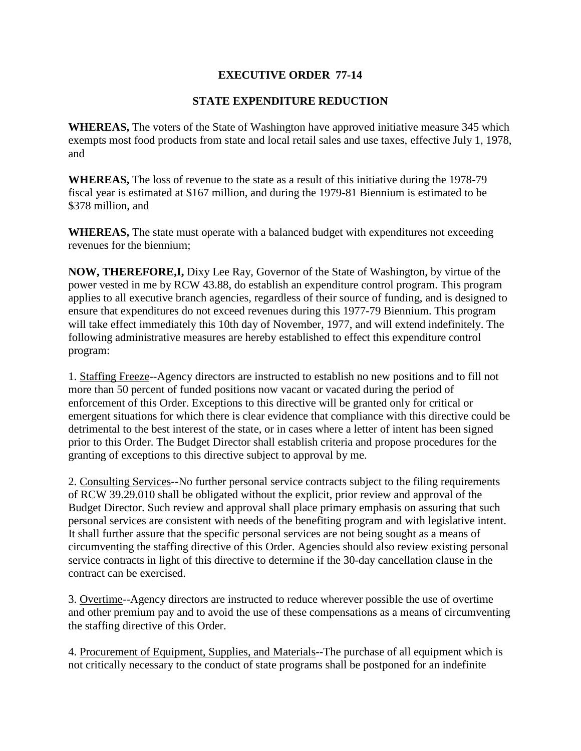## **EXECUTIVE ORDER 77-14**

## **STATE EXPENDITURE REDUCTION**

**WHEREAS,** The voters of the State of Washington have approved initiative measure 345 which exempts most food products from state and local retail sales and use taxes, effective July 1, 1978, and

**WHEREAS,** The loss of revenue to the state as a result of this initiative during the 1978-79 fiscal year is estimated at \$167 million, and during the 1979-81 Biennium is estimated to be \$378 million, and

**WHEREAS,** The state must operate with a balanced budget with expenditures not exceeding revenues for the biennium;

**NOW, THEREFORE,I,** Dixy Lee Ray, Governor of the State of Washington, by virtue of the power vested in me by RCW 43.88, do establish an expenditure control program. This program applies to all executive branch agencies, regardless of their source of funding, and is designed to ensure that expenditures do not exceed revenues during this 1977-79 Biennium. This program will take effect immediately this 10th day of November, 1977, and will extend indefinitely. The following administrative measures are hereby established to effect this expenditure control program:

1. Staffing Freeze--Agency directors are instructed to establish no new positions and to fill not more than 50 percent of funded positions now vacant or vacated during the period of enforcement of this Order. Exceptions to this directive will be granted only for critical or emergent situations for which there is clear evidence that compliance with this directive could be detrimental to the best interest of the state, or in cases where a letter of intent has been signed prior to this Order. The Budget Director shall establish criteria and propose procedures for the granting of exceptions to this directive subject to approval by me.

2. Consulting Services--No further personal service contracts subject to the filing requirements of RCW 39.29.010 shall be obligated without the explicit, prior review and approval of the Budget Director. Such review and approval shall place primary emphasis on assuring that such personal services are consistent with needs of the benefiting program and with legislative intent. It shall further assure that the specific personal services are not being sought as a means of circumventing the staffing directive of this Order. Agencies should also review existing personal service contracts in light of this directive to determine if the 30-day cancellation clause in the contract can be exercised.

3. Overtime--Agency directors are instructed to reduce wherever possible the use of overtime and other premium pay and to avoid the use of these compensations as a means of circumventing the staffing directive of this Order.

4. Procurement of Equipment, Supplies, and Materials--The purchase of all equipment which is not critically necessary to the conduct of state programs shall be postponed for an indefinite